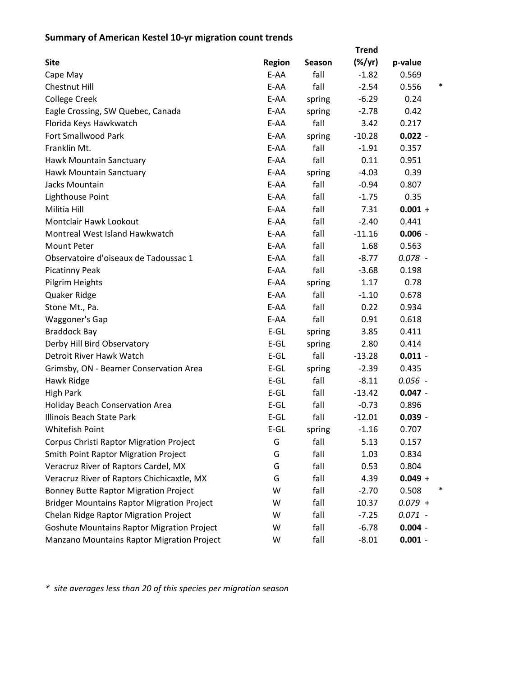## **Summary of American Kestel 10‐yr migration count trends**

|                                                   | <b>Trend</b>  |        |                 |                 |  |  |
|---------------------------------------------------|---------------|--------|-----------------|-----------------|--|--|
| <b>Site</b>                                       | <b>Region</b> | Season | $(\frac{9}{7})$ | p-value         |  |  |
| Cape May                                          | E-AA          | fall   | $-1.82$         | 0.569           |  |  |
| Chestnut Hill                                     | E-AA          | fall   | $-2.54$         | $\ast$<br>0.556 |  |  |
| <b>College Creek</b>                              | E-AA          | spring | $-6.29$         | 0.24            |  |  |
| Eagle Crossing, SW Quebec, Canada                 | E-AA          | spring | $-2.78$         | 0.42            |  |  |
| Florida Keys Hawkwatch                            | E-AA          | fall   | 3.42            | 0.217           |  |  |
| Fort Smallwood Park                               | E-AA          | spring | $-10.28$        | $0.022 -$       |  |  |
| Franklin Mt.                                      | E-AA          | fall   | $-1.91$         | 0.357           |  |  |
| Hawk Mountain Sanctuary                           | E-AA          | fall   | 0.11            | 0.951           |  |  |
| Hawk Mountain Sanctuary                           | E-AA          | spring | $-4.03$         | 0.39            |  |  |
| Jacks Mountain                                    | E-AA          | fall   | $-0.94$         | 0.807           |  |  |
| Lighthouse Point                                  | E-AA          | fall   | $-1.75$         | 0.35            |  |  |
| Militia Hill                                      | E-AA          | fall   | 7.31            | $0.001 +$       |  |  |
| <b>Montclair Hawk Lookout</b>                     | E-AA          | fall   | $-2.40$         | 0.441           |  |  |
| Montreal West Island Hawkwatch                    | $E-AA$        | fall   | $-11.16$        | $0.006 -$       |  |  |
| <b>Mount Peter</b>                                | E-AA          | fall   | 1.68            | 0.563           |  |  |
| Observatoire d'oiseaux de Tadoussac 1             | E-AA          | fall   | $-8.77$         | $0.078 -$       |  |  |
| <b>Picatinny Peak</b>                             | E-AA          | fall   | $-3.68$         | 0.198           |  |  |
| Pilgrim Heights                                   | E-AA          | spring | 1.17            | 0.78            |  |  |
| Quaker Ridge                                      | E-AA          | fall   | $-1.10$         | 0.678           |  |  |
| Stone Mt., Pa.                                    | E-AA          | fall   | 0.22            | 0.934           |  |  |
| Waggoner's Gap                                    | E-AA          | fall   | 0.91            | 0.618           |  |  |
| <b>Braddock Bay</b>                               | $E-GL$        | spring | 3.85            | 0.411           |  |  |
| Derby Hill Bird Observatory                       | $E-GL$        | spring | 2.80            | 0.414           |  |  |
| Detroit River Hawk Watch                          | $E-GL$        | fall   | $-13.28$        | $0.011 -$       |  |  |
| Grimsby, ON - Beamer Conservation Area            | $E-GL$        | spring | $-2.39$         | 0.435           |  |  |
| Hawk Ridge                                        | $E-GL$        | fall   | $-8.11$         | $0.056 -$       |  |  |
| <b>High Park</b>                                  | $E-GL$        | fall   | $-13.42$        | $0.047 -$       |  |  |
| Holiday Beach Conservation Area                   | $E-GL$        | fall   | $-0.73$         | 0.896           |  |  |
| Illinois Beach State Park                         | $E-GL$        | fall   | $-12.01$        | $0.039 -$       |  |  |
| Whitefish Point                                   | $E$ -GL       | spring | $-1.16$         | 0.707           |  |  |
| Corpus Christi Raptor Migration Project           | G             | fall   | 5.13            | 0.157           |  |  |
| <b>Smith Point Raptor Migration Project</b>       | G             | fall   | 1.03            | 0.834           |  |  |
| Veracruz River of Raptors Cardel, MX              | G             | fall   | 0.53            | 0.804           |  |  |
| Veracruz River of Raptors Chichicaxtle, MX        | G             | fall   | 4.39            | $0.049 +$       |  |  |
| <b>Bonney Butte Raptor Migration Project</b>      | W             | fall   | $-2.70$         | 0.508           |  |  |
| <b>Bridger Mountains Raptor Migration Project</b> | W             | fall   | 10.37           | $0.079 +$       |  |  |
| Chelan Ridge Raptor Migration Project             | W             | fall   | $-7.25$         | $0.071 -$       |  |  |
| <b>Goshute Mountains Raptor Migration Project</b> | W             | fall   | $-6.78$         | $0.004 -$       |  |  |
| Manzano Mountains Raptor Migration Project        | W             | fall   | $-8.01$         | $0.001 -$       |  |  |

*\* site averages less than 20 of this species per migration season*